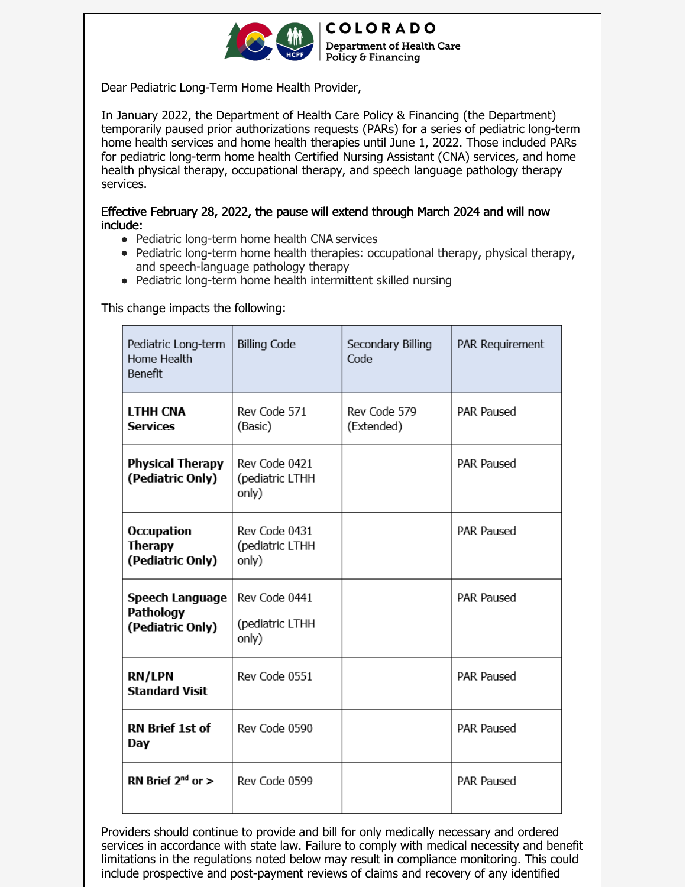

**COLORADO Department of Health Care** Policy & Financing

Dear Pediatric Long-Term Home Health Provider,

In January 2022, the Department of Health Care Policy & Financing (the Department) temporarily paused prior authorizations requests (PARs) for a series of pediatric long-term home health services and home health therapies until June 1, 2022. Those included PARs for pediatric long-term home health Certified Nursing Assistant (CNA) services, and home health physical therapy, occupational therapy, and speech language pathology therapy services.

## Effective February 28, 2022, the pause will extend through March 2024 and will now include:

- Pediatric long-term home health CNA services
- Pediatric long-term home health therapies: occupational therapy, physical therapy, and speech-language pathology therapy
- Pediatric long-term home health intermittent skilled nursing

This change impacts the following:

| Pediatric Long-term<br>Home Health<br><b>Benefit</b>    | <b>Billing Code</b>                       | Secondary Billing<br>Code  | PAR Requirement   |
|---------------------------------------------------------|-------------------------------------------|----------------------------|-------------------|
| <b>LTHH CNA</b><br><b>Services</b>                      | Rev Code 571<br>(Basic)                   | Rev Code 579<br>(Extended) | <b>PAR Paused</b> |
| <b>Physical Therapy</b><br>(Pediatric Only)             | Rev Code 0421<br>(pediatric LTHH<br>only) |                            | <b>PAR Paused</b> |
| <b>Occupation</b><br><b>Therapy</b><br>(Pediatric Only) | Rev Code 0431<br>(pediatric LTHH<br>only) |                            | <b>PAR Paused</b> |
| Speech Language<br>Pathology<br>(Pediatric Only)        | Rev Code 0441<br>(pediatric LTHH<br>only) |                            | <b>PAR Paused</b> |
| <b>RN/LPN</b><br><b>Standard Visit</b>                  | Rev Code 0551                             |                            | <b>PAR Paused</b> |
| <b>RN Brief 1st of</b><br>Day                           | Rev Code 0590                             |                            | <b>PAR Paused</b> |
| RN Brief $2^{nd}$ or $>$                                | Rev Code 0599                             |                            | PAR Paused        |

Providers should continue to provide and bill for only medically necessary and ordered services in accordance with state law. Failure to comply with medical necessity and benefit limitations in the regulations noted below may result in compliance monitoring. This could include prospective and post-payment reviews of claims and recovery of any identified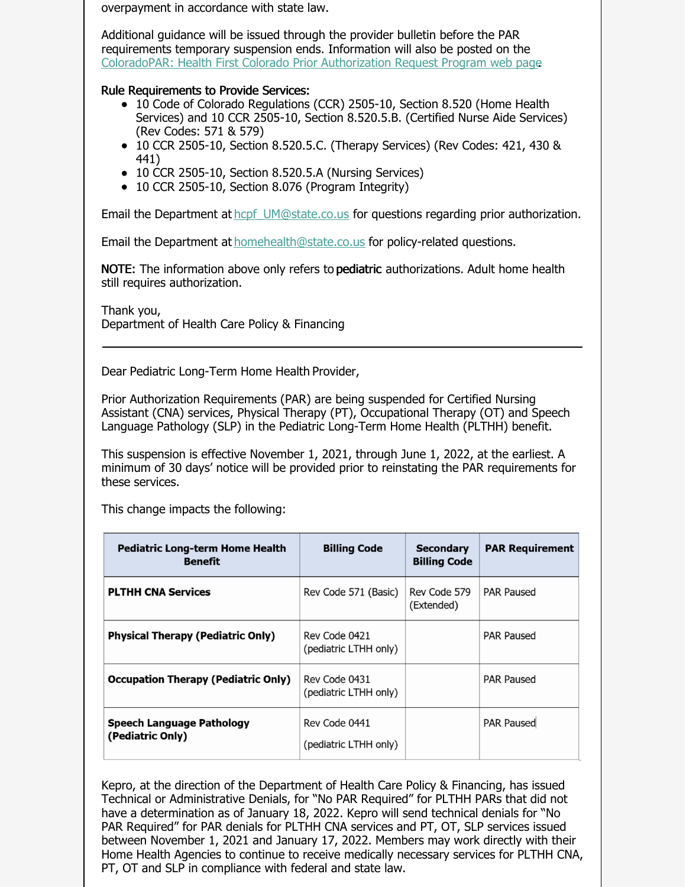overpayment in accordance with state law.

Additional guidance will be issued through the provider bulletin before the PAR requirements temporary suspension ends. Information will also be posted on the [ColoradoPAR:](https://hcpf.colorado.gov/par) Health First Colorado Prior Authorization Request Program web page.

## Rule Requirements to Provide Services:

- 10 Code of Colorado Regulations (CCR) 2505-10, Section 8.520 (Home Health Services) and 10 CCR 2505-10, Section 8.520.5.B. (Certified Nurse Aide Services) (Rev Codes: 571 & 579)
- 10 CCR 2505-10, Section 8.520.5.C. (Therapy Services) (Rev Codes: 421, 430 & 441)
- 10 CCR 2505-10, Section 8.520.5.A (Nursing Services)
- 10 CCR 2505-10, Section 8.076 (Program Integrity)

Email the Department at hcpf UM@state.co.us for questions regarding prior authorization.

Email the Department at [homehealth@state.co.us](mailto:homehealth@state.co.us) for policy-related questions.

**NOTE:** The information above only refers to **pediatric** authorizations. Adult home health still requires authorization.

Thank you, Department of Health Care Policy & Financing

Dear Pediatric Long-Term Home Health Provider,

Prior Authorization Requirements (PAR) are being suspended for Certified Nursing Assistant (CNA) services, Physical Therapy (PT), Occupational Therapy (OT) and Speech Language Pathology (SLP) in the Pediatric Long-Term Home Health (PLTHH) benefit.

This suspension is effective November 1, 2021, through June 1, 2022, at the earliest. A minimum of 30 days' notice will be provided prior to reinstating the PAR requirements for these services.

This change impacts the following:

| <b>Pediatric Long-term Home Health</b><br><b>Benefit</b> | <b>Billing Code</b>                    | <b>Secondary</b><br><b>Billing Code</b> | <b>PAR Requirement</b> |
|----------------------------------------------------------|----------------------------------------|-----------------------------------------|------------------------|
| <b>PLTHH CNA Services</b>                                | Rev Code 571 (Basic)                   | Rev Code 579<br>(Extended)              | <b>PAR Paused</b>      |
| <b>Physical Therapy (Pediatric Only)</b>                 | Rev Code 0421<br>(pediatric LTHH only) |                                         | <b>PAR Paused</b>      |
| <b>Occupation Therapy (Pediatric Only)</b>               | Rev Code 0431<br>(pediatric LTHH only) |                                         | <b>PAR Paused</b>      |
| <b>Speech Language Pathology</b><br>(Pediatric Only)     | Rev Code 0441<br>(pediatric LTHH only) |                                         | <b>PAR Paused</b>      |

Kepro, at the direction of the Department of Health Care Policy & Financing, has issued Technical or Administrative Denials, for "No PAR Required" for PLTHH PARs that did not have a determination as of January 18, 2022. Kepro will send technical denials for "No PAR Required" for PAR denials for PLTHH CNA services and PT, OT, SLP services issued between November 1, 2021 and January 17, 2022. Members may work directly with their Home Health Agencies to continue to receive medically necessary services for PLTHH CNA, PT, OT and SLP in compliance with federal and state law.